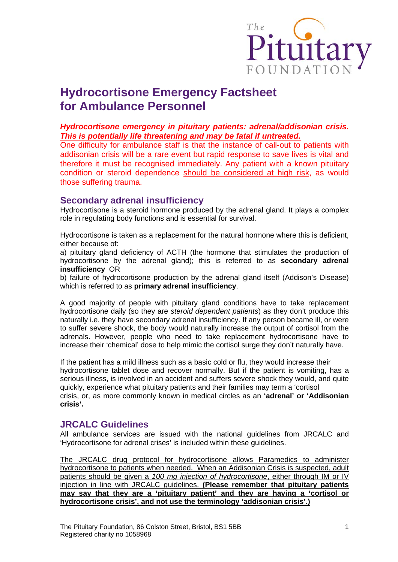

# **Hydrocortisone Emergency Factsheet for Ambulance Personnel**

#### *Hydrocortisone emergency in pituitary patients: adrenal/addisonian crisis. This is potentially life threatening and may be fatal if untreated.*

One difficulty for ambulance staff is that the instance of call-out to patients with addisonian crisis will be a rare event but rapid response to save lives is vital and therefore it must be recognised immediately. Any patient with a known pituitary condition or steroid dependence should be considered at high risk, as would those suffering trauma.

#### **Secondary adrenal insufficiency**

Hydrocortisone is a steroid hormone produced by the adrenal gland. It plays a complex role in regulating body functions and is essential for survival.

Hydrocortisone is taken as a replacement for the natural hormone where this is deficient, either because of:

a) pituitary gland deficiency of ACTH (the hormone that stimulates the production of hydrocortisone by the adrenal gland); this is referred to as **secondary adrenal insufficiency** OR

b) failure of hydrocortisone production by the adrenal gland itself (Addison's Disease) which is referred to as **primary adrenal insufficiency**.

A good majority of people with pituitary gland conditions have to take replacement hydrocortisone daily (so they are *steroid dependent patients*) as they don't produce this naturally i.e. they have secondary adrenal insufficiency. If any person became ill, or were to suffer severe shock, the body would naturally increase the output of cortisol from the adrenals. However, people who need to take replacement hydrocortisone have to increase their 'chemical' dose to help mimic the cortisol surge they don't naturally have.

If the patient has a mild illness such as a basic cold or flu, they would increase their hydrocortisone tablet dose and recover normally. But if the patient is vomiting, has a serious illness, is involved in an accident and suffers severe shock they would, and quite quickly, experience what pituitary patients and their families may term a 'cortisol crisis, or, as more commonly known in medical circles as an **'adrenal' or 'Addisonian crisis'.** 

### **JRCALC Guidelines**

All ambulance services are issued with the national guidelines from JRCALC and 'Hydrocortisone for adrenal crises' is included within these guidelines.

The JRCALC drug protocol for hydrocortisone allows Paramedics to administer hydrocortisone to patients when needed. When an Addisonian Crisis is suspected, adult patients should be given a *100 mg injection of hydrocortisone*, either through IM or IV injection in line with JRCALC guidelines. **(Please remember that pituitary patients may say that they are a 'pituitary patient' and they are having a 'cortisol or hydrocortisone crisis', and not use the terminology 'addisonian crisis'.)**